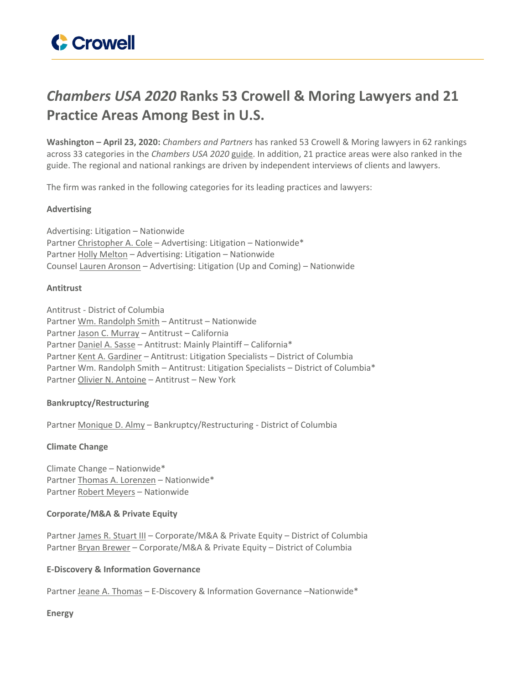

# *Chambers USA 2020* **Ranks 53 Crowell & Moring Lawyers and 21 Practice Areas Among Best in U.S.**

**Washington – April 23, 2020:** *Chambers and Partners* has ranked 53 Crowell & Moring lawyers in 62 rankings across 33 categories in the *Chambers USA 2020* [guide.](https://chambers.com/guide/usa?publicationTypeId=5) In addition, 21 practice areas were also ranked in the guide. The regional and national rankings are driven by independent interviews of clients and lawyers.

The firm was ranked in the following categories for its leading practices and lawyers:

# **Advertising**

Advertising: Litigation – Nationwide Partner [Christopher](https://www.crowell.com/professionals/christopher-cole) A. Cole – Advertising: Litigation – Nationwide\* Partner Holly [Melton](https://www.crowell.com/professionals/Holly-Melton) – Advertising: Litigation – Nationwide Counsel Lauren [Aronson](https://www.crowell.com/professionals/lauren-aronson) – Advertising: Litigation (Up and Coming) – Nationwide

#### **Antitrust**

Antitrust - District of Columbia Partner Wm. [Randolph](https://www.crowell.com/professionals/Wm-Randolph-Smith) Smith – Antitrust – Nationwide Partner Jason C. [Murray](https://www.crowell.com/professionals/Jason-Murray) – Antitrust – California Partner [Daniel](https://www.crowell.com/professionals/Daniel-Sasse) A. Sasse – Antitrust: Mainly Plaintiff – California\* Partner Kent A. [Gardiner](https://www.crowell.com/professionals/Kent-Gardiner) - Antitrust: Litigation Specialists - District of Columbia Partner Wm. Randolph Smith – Antitrust: Litigation Specialists – District of Columbia\* Partner Olivier N. [Antoine](https://www.crowell.com/professionals/Olivier-Antoine) – Antitrust – New York

#### **Bankruptcy/Restructuring**

Partner [Monique](https://www.crowell.com/professionals/Monique-Almy) D. Almy – Bankruptcy/Restructuring - District of Columbia

#### **Climate Change**

Climate Change – Nationwide\* Partner Thomas A. [Lorenzen](https://www.crowell.com/professionals/Thomas-Lorenzen) – Nationwide\* Partner Robert [Meyers](https://www.crowell.com/professionals/Robert-Meyers) – Nationwide

#### **Corporate/M&A & Private Equity**

Partner [James](https://www.crowell.com/professionals/James-Stuart) R. Stuart III - Corporate/M&A & Private Equity - District of Columbia Partner Bryan [Brewer](https://www.crowell.com/professionals/Bryan-Brewer) – Corporate/M&A & Private Equity – District of Columbia

#### **E-Discovery & Information Governance**

Partner Jeane A. [Thomas](https://www.crowell.com/professionals/Jeane-Thomas) – E-Discovery & Information Governance –Nationwide\*

**Energy**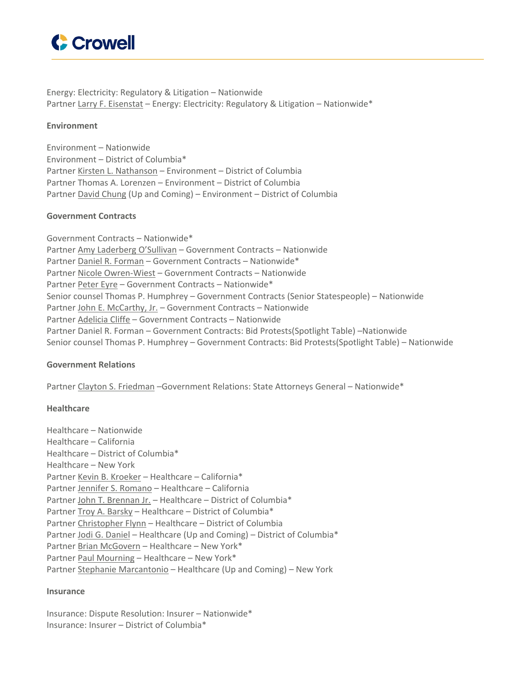

Energy: Electricity: Regulatory & Litigation – Nationwide Partner Larry F. [Eisenstat](https://www.crowell.com/professionals/larry-eisenstat) – Energy: Electricity: Regulatory & Litigation – Nationwide\*

## **Environment**

Environment – Nationwide Environment – District of Columbia\* Partner Kirsten L. [Nathanson](https://www.crowell.com/professionals/Kirsten-Nathanson) – Environment – District of Columbia Partner Thomas A. Lorenzen – Environment – District of Columbia Partner David [Chung](https://www.crowell.com/professionals/David-Chung) (Up and Coming) – Environment – District of Columbia

## **Government Contracts**

Government Contracts – Nationwide\* Partner Amy [Laderberg](https://www.crowell.com/professionals/Amy-O) O'Sullivan – Government Contracts – Nationwide Partner Daniel R. [Forman](https://www.crowell.com/Professionals/Daniel-Forman) – Government Contracts – Nationwide\* Partner Nicole [Owren-Wiest](https://www.crowell.com/professionals/Nicole-Owren-Wiest) – Government Contracts – Nationwide Partner [Peter](https://www.crowell.com/professionals/Peter-Eyre) Eyre – Government Contracts – Nationwide\* Senior counsel Thomas P. Humphrey – Government Contracts (Senior Statespeople) – Nationwide Partner John E. [McCarthy,](https://www.crowell.com/professionals/John-McCarthy) Jr. - Government Contracts - Nationwide Partner [Adelicia](https://www.crowell.com/professionals/Adelicia-Cliffe) Cliffe – Government Contracts – Nationwide Partner Daniel R. Forman - Government Contracts: Bid Protests(Spotlight Table) -Nationwide Senior counsel Thomas P. Humphrey – Government Contracts: Bid Protests(Spotlight Table) – Nationwide

#### **Government Relations**

Partner Clayton S. [Friedman](https://www.crowell.com/professionals/Clayton-Friedman) –Government Relations: State Attorneys General – Nationwide\*

#### **Healthcare**

Healthcare – Nationwide Healthcare – California Healthcare – District of Columbia\* Healthcare – New York Partner Kevin B. [Kroeker](https://www.crowell.com/professionals/kevin-kroeker) – Healthcare – California\* Partner Jennifer S. [Romano](https://www.crowell.com/professionals/Jennifer-Romano) – Healthcare – California Partner John T. [Brennan](https://www.crowell.com/professionals/John-Brennan) Jr. – Healthcare – District of Columbia\* Partner Troy A. [Barsky](https://www.crowell.com/professionals/troy-barsky) – Healthcare – District of Columbia\* Partner [Christopher](https://www.crowell.com/professionals/Christopher-Flynn) Flynn – Healthcare – District of Columbia Partner Jodi G. [Daniel](https://www.crowell.com/professionals/Jodi-Daniel) – Healthcare (Up and Coming) – District of Columbia\* Partner Brian [McGovern](https://www.crowell.com/professionals/Brian-McGovern) – Healthcare – New York\* Partner Paul [Mourning](https://www.crowell.com/professionals/Paul-Mourning) – Healthcare – New York\* Partner Stephanie [Marcantonio](https://www.crowell.com/professionals/Stephanie-Marcantonio) – Healthcare (Up and Coming) – New York

#### **Insurance**

Insurance: Dispute Resolution: Insurer – Nationwide\* Insurance: Insurer – District of Columbia\*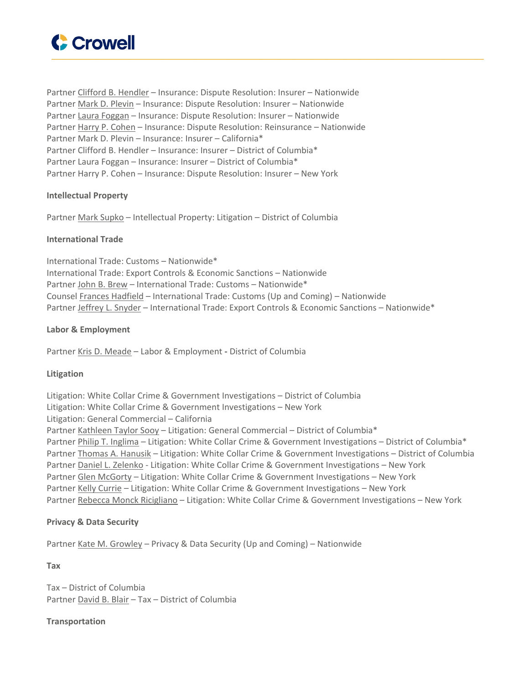

Partner Clifford B. [Hendler](https://www.crowell.com/professionals/Clifford-Hendler) – Insurance: Dispute Resolution: Insurer – Nationwide Partner Mark D. [Plevin](https://www.crowell.com/professionals/Mark-Plevin) – Insurance: Dispute Resolution: Insurer – Nationwide Partner Laura [Foggan](https://www.crowell.com/professionals/Laura-Foggan) – Insurance: Dispute Resolution: Insurer – Nationwide Partner Harry P. [Cohen](https://www.crowell.com/professionals/Harry-Cohen) – Insurance: Dispute Resolution: Reinsurance – Nationwide Partner Mark D. Plevin – Insurance: Insurer – California\* Partner Clifford B. Hendler – Insurance: Insurer – District of Columbia\* Partner Laura Foggan – Insurance: Insurer – District of Columbia\* Partner Harry P. Cohen – Insurance: Dispute Resolution: Insurer – New York

## **Intellectual Property**

Partner Mark [Supko](https://www.crowell.com/professionals/Mark-Supko) – Intellectual Property: Litigation – District of Columbia

## **International Trade**

International Trade: Customs – Nationwide\* International Trade: Export Controls & Economic Sanctions – Nationwide Partner John B. [Brew](https://www.crowell.com/professionals/John-Brew) – International Trade: Customs – Nationwide\* Counsel Frances [Hadfield](https://www.crowell.com/professionals/Frances-Hadfield) – International Trade: Customs (Up and Coming) – Nationwide Partner Jeffrey L. [Snyder](https://www.crowell.com/professionals/Jeffrey-Snyder) – International Trade: Export Controls & Economic Sanctions – Nationwide\*

## **Labor & Employment**

Partner Kris D. [Meade](https://www.crowell.com/professionals/Kris-Meade) – Labor & Employment **-** District of Columbia

#### **Litigation**

Litigation: White Collar Crime & Government Investigations – District of Columbia Litigation: White Collar Crime & Government Investigations – New York Litigation: General Commercial – California Partner [Kathleen](https://www.crowell.com/professionals/Kathleen-Sooy) Taylor Sooy – Litigation: General Commercial – District of Columbia\* Partner Philip T. [Inglima](https://www.crowell.com/professionals/Philip-Inglima) – Litigation: White Collar Crime & Government Investigations – District of Columbia\* Partner Thomas A. [Hanusik](https://www.crowell.com/professionals/Thomas-Hanusik) – Litigation: White Collar Crime & Government Investigations – District of Columbia Partner Daniel L. [Zelenko](https://www.crowell.com/professionals/Daniel-Zelenko) - Litigation: White Collar Crime & Government Investigations - New York Partner Glen [McGorty](https://www.crowell.com/professionals/Glen-McGorty) - Litigation: White Collar Crime & Government Investigations - New York Partner Kelly [Currie](https://www.crowell.com/professionals/Kelly-Currie) - Litigation: White Collar Crime & Government Investigations - New York Partner Rebecca Monck [Ricigliano](https://www.crowell.com/professionals/Rebecca-Ricigliano) - Litigation: White Collar Crime & Government Investigations - New York

#### **Privacy & Data Security**

Partner Kate M. [Growley](https://www.crowell.com/professionals/kate-growley) – Privacy & Data Security (Up and Coming) – Nationwide

**Tax**

Tax – District of Columbia Partner [David](https://www.crowell.com/professionals/david-blair) B. Blair – Tax – District of Columbia

## **Transportation**